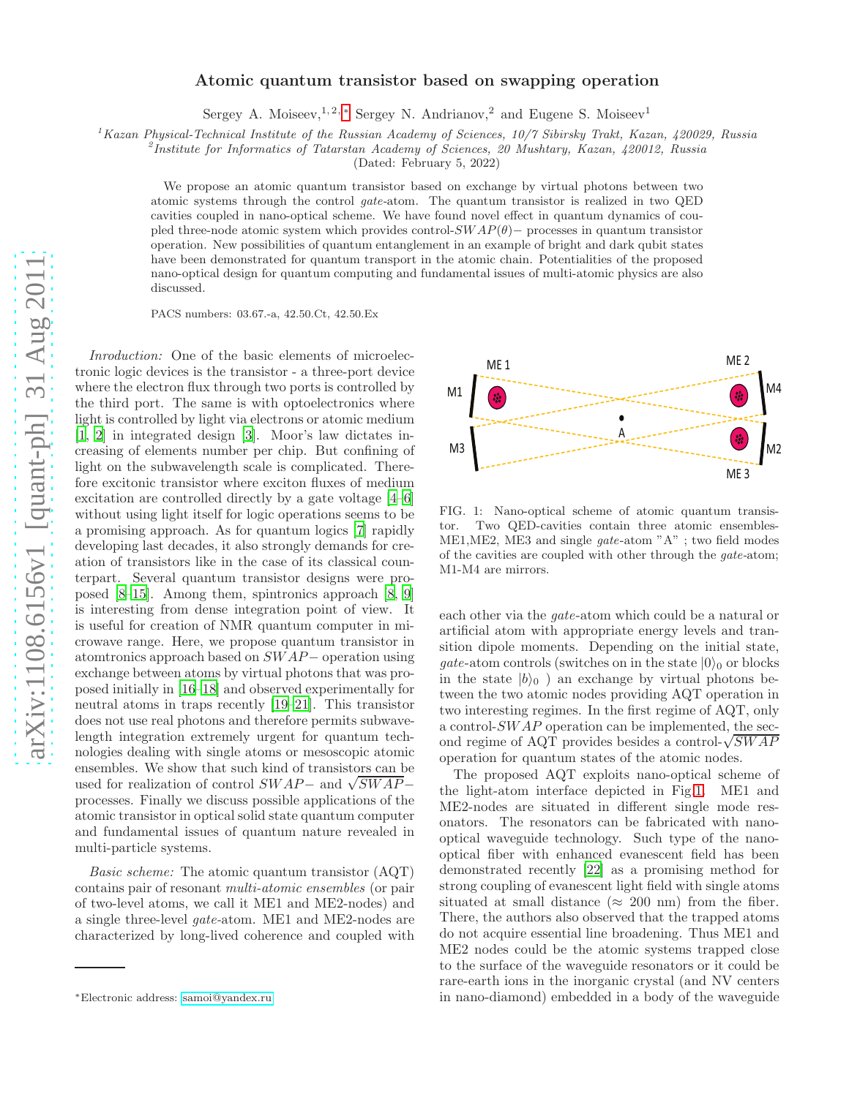## Atomic quantum transistor based on swapping operation

Sergey A. Moiseev,<sup>1, 2, [∗](#page-0-0)</sup> Sergey N. Andrianov,<sup>2</sup> and Eugene S. Moiseev<sup>1</sup>

<sup>1</sup>Kazan Physical-Technical Institute of the Russian Academy of Sciences,  $10/7$  Sibirsky Trakt, Kazan, 420029, Russia

<sup>2</sup>Institute for Informatics of Tatarstan Academy of Sciences, 20 Mushtary, Kazan, 420012, Russia

(Dated: February 5, 2022)

We propose an atomic quantum transistor based on exchange by virtual photons between two atomic systems through the control gate-atom. The quantum transistor is realized in two QED cavities coupled in nano-optical scheme. We have found novel effect in quantum dynamics of coupled three-node atomic system which provides control- $SWAP(\theta)$ − processes in quantum transistor operation. New possibilities of quantum entanglement in an example of bright and dark qubit states have been demonstrated for quantum transport in the atomic chain. Potentialities of the proposed nano-optical design for quantum computing and fundamental issues of multi-atomic physics are also discussed.

PACS numbers: 03.67.-a, 42.50.Ct, 42.50.Ex

Inroduction: One of the basic elements of microelectronic logic devices is the transistor - a three-port device where the electron flux through two ports is controlled by the third port. The same is with optoelectronics where light is controlled by light via electrons or atomic medium [\[1,](#page-3-0) [2](#page-3-1)] in integrated design [\[3](#page-3-2)]. Moor's law dictates increasing of elements number per chip. But confining of light on the subwavelength scale is complicated. Therefore excitonic transistor where exciton fluxes of medium excitation are controlled directly by a gate voltage [\[4](#page-3-3)[–6](#page-3-4)] without using light itself for logic operations seems to be a promising approach. As for quantum logics [\[7](#page-3-5)] rapidly developing last decades, it also strongly demands for creation of transistors like in the case of its classical counterpart. Several quantum transistor designs were proposed [\[8–](#page-3-6)[15\]](#page-3-7). Among them, spintronics approach [\[8,](#page-3-6) [9](#page-3-8)] is interesting from dense integration point of view. It is useful for creation of NMR quantum computer in microwave range. Here, we propose quantum transistor in atomtronics approach based on SW AP− operation using exchange between atoms by virtual photons that was proposed initially in [\[16](#page-3-9)[–18\]](#page-3-10) and observed experimentally for neutral atoms in traps recently [\[19](#page-3-11)[–21\]](#page-3-12). This transistor does not use real photons and therefore permits subwavelength integration extremely urgent for quantum technologies dealing with single atoms or mesoscopic atomic ensembles. We show that such kind of transistors can be used for realization of control  $SWAP-$  and  $\sqrt{SWAP-}$ processes. Finally we discuss possible applications of the atomic transistor in optical solid state quantum computer and fundamental issues of quantum nature revealed in multi-particle systems.

Basic scheme: The atomic quantum transistor (AQT) contains pair of resonant multi-atomic ensembles (or pair of two-level atoms, we call it ME1 and ME2-nodes) and a single three-level gate-atom. ME1 and ME2-nodes are characterized by long-lived coherence and coupled with



<span id="page-0-1"></span>FIG. 1: Nano-optical scheme of atomic quantum transistor. Two QED-cavities contain three atomic ensembles-ME1,ME2, ME3 and single gate-atom "A" ; two field modes of the cavities are coupled with other through the gate-atom; M1-M4 are mirrors.

each other via the gate-atom which could be a natural or artificial atom with appropriate energy levels and transition dipole moments. Depending on the initial state, *gate*-atom controls (switches on in the state  $|0\rangle_0$  or blocks in the state  $|b\rangle_0$  ) an exchange by virtual photons between the two atomic nodes providing AQT operation in two interesting regimes. In the first regime of AQT, only a control-SW AP operation can be implemented, the second regime of AQT provides besides a control- $\sqrt{SWAF}$ operation for quantum states of the atomic nodes.

The proposed AQT exploits nano-optical scheme of the light-atom interface depicted in Fig[.1.](#page-0-1) ME1 and ME2-nodes are situated in different single mode resonators. The resonators can be fabricated with nanooptical waveguide technology. Such type of the nanooptical fiber with enhanced evanescent field has been demonstrated recently [\[22](#page-3-13)] as a promising method for strong coupling of evanescent light field with single atoms situated at small distance ( $\approx 200$  nm) from the fiber. There, the authors also observed that the trapped atoms do not acquire essential line broadening. Thus ME1 and ME2 nodes could be the atomic systems trapped close to the surface of the waveguide resonators or it could be rare-earth ions in the inorganic crystal (and NV centers in nano-diamond) embedded in a body of the waveguide

<span id="page-0-0"></span><sup>∗</sup>Electronic address: [samoi@yandex.ru](mailto:samoi@yandex.ru)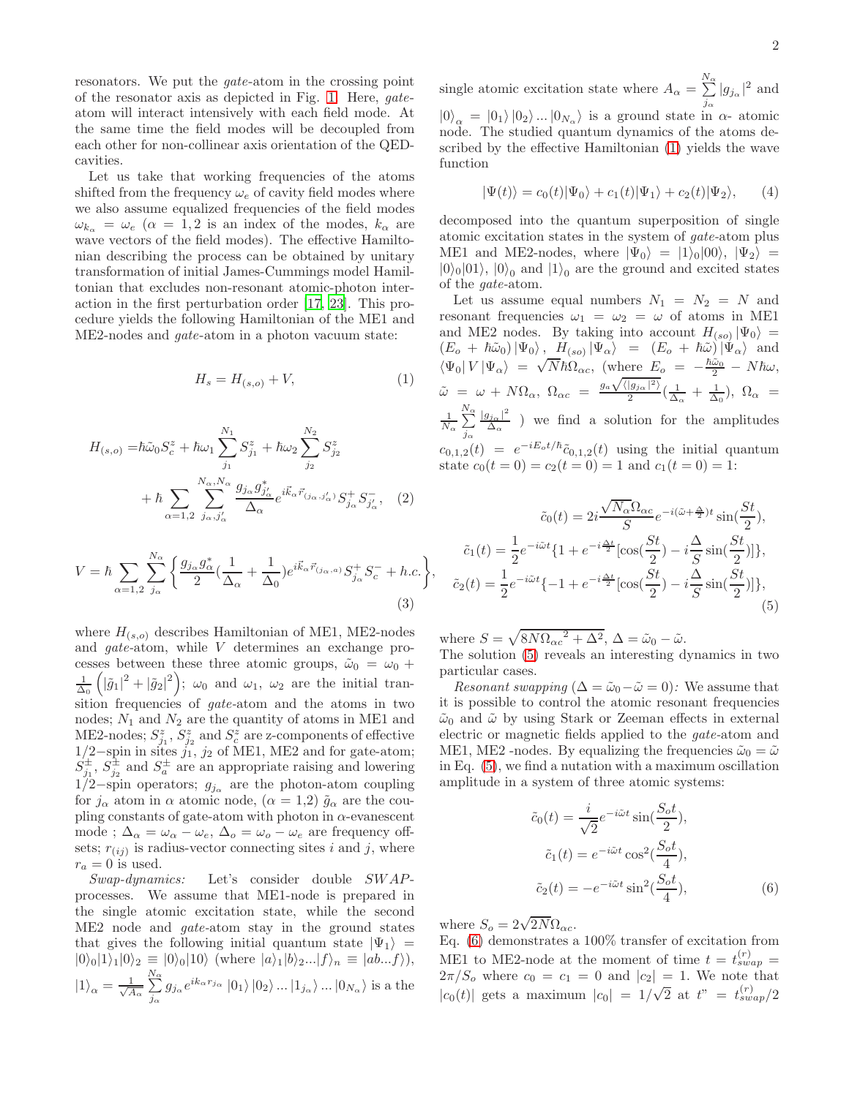resonators. We put the *gate*-atom in the crossing point of the resonator axis as depicted in Fig. [1.](#page-0-1) Here, gateatom will interact intensively with each field mode. At the same time the field modes will be decoupled from each other for non-collinear axis orientation of the QEDcavities.

Let us take that working frequencies of the atoms shifted from the frequency  $\omega_e$  of cavity field modes where we also assume equalized frequencies of the field modes  $\omega_{k_{\alpha}} = \omega_e$  ( $\alpha = 1, 2$  is an index of the modes,  $k_{\alpha}$  are wave vectors of the field modes). The effective Hamiltonian describing the process can be obtained by unitary transformation of initial James-Cummings model Hamiltonian that excludes non-resonant atomic-photon interaction in the first perturbation order [\[17,](#page-3-14) [23\]](#page-3-15). This procedure yields the following Hamiltonian of the ME1 and ME2-nodes and gate-atom in a photon vacuum state:

$$
H_s = H_{(s,o)} + V,\tag{1}
$$

$$
H_{(s,o)} = \hbar \tilde{\omega}_0 S_c^z + \hbar \omega_1 \sum_{j_1}^{N_1} S_{j_1}^z + \hbar \omega_2 \sum_{j_2}^{N_2} S_{j_2}^z + \hbar \sum_{\alpha=1,2} \sum_{j_\alpha,j_\alpha'}^{N_\alpha,N_\alpha} \frac{g_{j_\alpha} g_{j_\alpha}^*}{\Delta_\alpha} e^{i\vec{k}_\alpha \vec{r}_{(j_\alpha,j_\alpha')}} S_{j_\alpha}^+ S_{j_\alpha}^- , \quad (2)
$$

$$
V = \hbar \sum_{\alpha=1,2} \sum_{j_{\alpha}}^{N_{\alpha}} \left\{ \frac{g_{j_{\alpha}} g_{\alpha}^*}{2} (\frac{1}{\Delta_{\alpha}} + \frac{1}{\Delta_{0}}) e^{i\vec{k}_{\alpha}\vec{r}_{(j_{\alpha},a)}} S_{j_{\alpha}}^+ S_{c}^- + h.c. \right\}
$$
(3)

where  $H_{(s,o)}$  describes Hamiltonian of ME1, ME2-nodes and gate-atom, while V determines an exchange processes between these three atomic groups,  $\tilde{\omega}_0 = \omega_0 +$  $\frac{1}{\Delta_0}$   $(|\tilde{g}_1|^2 + |\tilde{g}_2|^2)$ ;  $\omega_0$  and  $\omega_1$ ,  $\omega_2$  are the initial transition frequencies of gate-atom and the atoms in two nodes;  $N_1$  and  $N_2$  are the quantity of atoms in ME1 and ME2-nodes;  $S_{j_1}^z$ ,  $S_{j_2}^z$  and  $S_c^z$  are z-components of effective 1/2−spin in sites  $j_1$ ,  $j_2$  of ME1, ME2 and for gate-atom;  $S_{j_1}^{\pm}$ ,  $S_{j_2}^{\pm}$  and  $S_a^{\pm}$  are an appropriate raising and lowering  $1/2$ -spin operators;  $g_{i\alpha}$  are the photon-atom coupling for  $j_{\alpha}$  atom in  $\alpha$  atomic node,  $(\alpha = 1.2) \tilde{g}_{\alpha}$  are the coupling constants of gate-atom with photon in  $\alpha$ -evanescent mode ;  $\Delta_{\alpha} = \omega_{\alpha} - \omega_{e}$ ,  $\Delta_{o} = \omega_{o} - \omega_{e}$  are frequency offsets;  $r_{(ij)}$  is radius-vector connecting sites i and j, where  $r_a = 0$  is used.

Swap-dynamics: Let's consider double SW APprocesses. We assume that ME1-node is prepared in the single atomic excitation state, while the second ME2 node and gate-atom stay in the ground states that gives the following initial quantum state  $|\Psi_1\rangle$  =  $|0\rangle_0|1\rangle_1|0\rangle_2 \equiv |0\rangle_0|10\rangle$  (where  $|a\rangle_1|b\rangle_2...|f\rangle_n \equiv |ab...f\rangle,$  $|1\rangle_\alpha = \frac{1}{\sqrt{A}}$  $A_{\alpha}$  $\sum^{\mathcal{N}_{\alpha}}$  $\sum_{j_\alpha} g_{j_\alpha} e^{ik_\alpha r_{j_\alpha}} |0_1\rangle |0_2\rangle ... |1_{j_\alpha}\rangle ... |0_{N_\alpha}\rangle$  is a the

single atomic excitation state where  $A_{\alpha} = \sum_{n=1}^{N_{\alpha}}$  $\sum_{j_{\alpha}} |g_{j_{\alpha}}|^2$  and  $|0\rangle_{\alpha} = |0_{1}\rangle |0_{2}\rangle ... |0_{N_{\alpha}}\rangle$  is a ground state in  $\alpha$ -atomic node. The studied quantum dynamics of the atoms described by the effective Hamiltonian [\(1\)](#page-1-0) yields the wave function

$$
|\Psi(t)\rangle = c_0(t)|\Psi_0\rangle + c_1(t)|\Psi_1\rangle + c_2(t)|\Psi_2\rangle, \qquad (4)
$$

decomposed into the quantum superposition of single atomic excitation states in the system of gate-atom plus ME1 and ME2-nodes, where  $|\Psi_0\rangle = |1\rangle_0|00\rangle$ ,  $|\Psi_2\rangle =$  $|0\rangle_0|01\rangle$ ,  $|0\rangle_0$  and  $|1\rangle_0$  are the ground and excited states of the gate-atom.

<span id="page-1-0"></span>Let us assume equal numbers  $N_1 = N_2 = N$  and resonant frequencies  $\omega_1 = \omega_2 = \omega$  of atoms in ME1 and ME2 nodes. By taking into account  $H_{(so)}|\Psi_0\rangle =$  $(E_o + \hbar \tilde{\omega}_0) |\Psi_0\rangle, \overline{H}_{(so)} |\Psi_{\alpha}\rangle = (E_o + \hbar \tilde{\omega}) |\Psi_{\alpha}\rangle$  and  $\langle \Psi_0 | V | \Psi_{\alpha} \rangle = \sqrt{N} \hbar \Omega_{\alpha c}$ , (where  $E_o = -\frac{\hbar \tilde{\omega}_0}{2} - N \hbar \omega$ ,  $\tilde{\omega} = \omega + N\Omega_{\alpha}, \ \Omega_{\alpha c} = \frac{g_{\alpha}\sqrt{\langle |g_{j_{\alpha}}|^2 \rangle}}{2}(\frac{1}{\Delta_{\alpha}} + \frac{1}{\Delta_{0}}), \ \Omega_{\alpha} =$  $\frac{1}{N_{\alpha}}$  $\sum^{\mathcal{N}_{\alpha}}$  $j_{\alpha}$  $|g_{j\alpha}|^2$  $\frac{d^i\alpha}{\Delta_{\alpha}}$ ) we find a solution for the amplitudes  $c_{0,1,2}(t) = e^{-iE_o t/\hbar} \tilde{c}_{0,1,2}(t)$  using the initial quantum state  $c_0(t = 0) = c_2(t = 0) = 1$  and  $c_1(t = 0) = 1$ :

$$
\tilde{c}_0(t) = 2i \frac{\sqrt{N_{\alpha}} \Omega_{\alpha c}}{S} e^{-i(\tilde{\omega} + \frac{\Delta}{2})t} \sin(\frac{St}{2}),
$$

$$
\tilde{c}_1(t) = \frac{1}{2} e^{-i\tilde{\omega}t} \{1 + e^{-i\frac{\Delta t}{2}} [\cos(\frac{St}{2}) - i\frac{\Delta}{S} \sin(\frac{St}{2})]\},
$$

$$
\tilde{c}_2(t) = \frac{1}{2} e^{-i\tilde{\omega}t} \{-1 + e^{-i\frac{\Delta t}{2}} [\cos(\frac{St}{2}) - i\frac{\Delta}{S} \sin(\frac{St}{2})]\},
$$
(5)

where  $S = \sqrt{8N\Omega_{\alpha c}^2 + \Delta^2}$ ,  $\Delta = \tilde{\omega}_0 - \tilde{\omega}$ .

,

The solution [\(5\)](#page-1-1) reveals an interesting dynamics in two particular cases.

Resonant swapping  $(\Delta = \tilde{\omega}_0 - \tilde{\omega} = 0)$ : We assume that it is possible to control the atomic resonant frequencies  $\tilde{\omega}_0$  and  $\tilde{\omega}$  by using Stark or Zeeman effects in external electric or magnetic fields applied to the *gate*-atom and ME1, ME2 -nodes. By equalizing the frequencies  $\tilde{\omega}_0 = \tilde{\omega}$ in Eq. [\(5\)](#page-1-1), we find a nutation with a maximum oscillation amplitude in a system of three atomic systems:

<span id="page-1-2"></span><span id="page-1-1"></span>
$$
\tilde{c}_0(t) = \frac{i}{\sqrt{2}} e^{-i\tilde{\omega}t} \sin(\frac{S_o t}{2}),
$$
  
\n
$$
\tilde{c}_1(t) = e^{-i\tilde{\omega}t} \cos^2(\frac{S_o t}{4}),
$$
  
\n
$$
\tilde{c}_2(t) = -e^{-i\tilde{\omega}t} \sin^2(\frac{S_o t}{4}),
$$
\n(6)

where  $S_o = 2\sqrt{2N}\Omega_{\alpha c}$ .

Eq. [\(6\)](#page-1-2) demonstrates a 100% transfer of excitation from ME1 to ME2-node at the moment of time  $t = t_{swap}^{(r)} =$  $2\pi/S_o$  where  $c_0 = c_1 = 0$  and  $|c_2| = 1$ . We note that  $|c_0(t)|$  gets a maximum  $|c_0| = 1/\sqrt{2}$  at  $t^r = t_{swap}^{(r)}/2$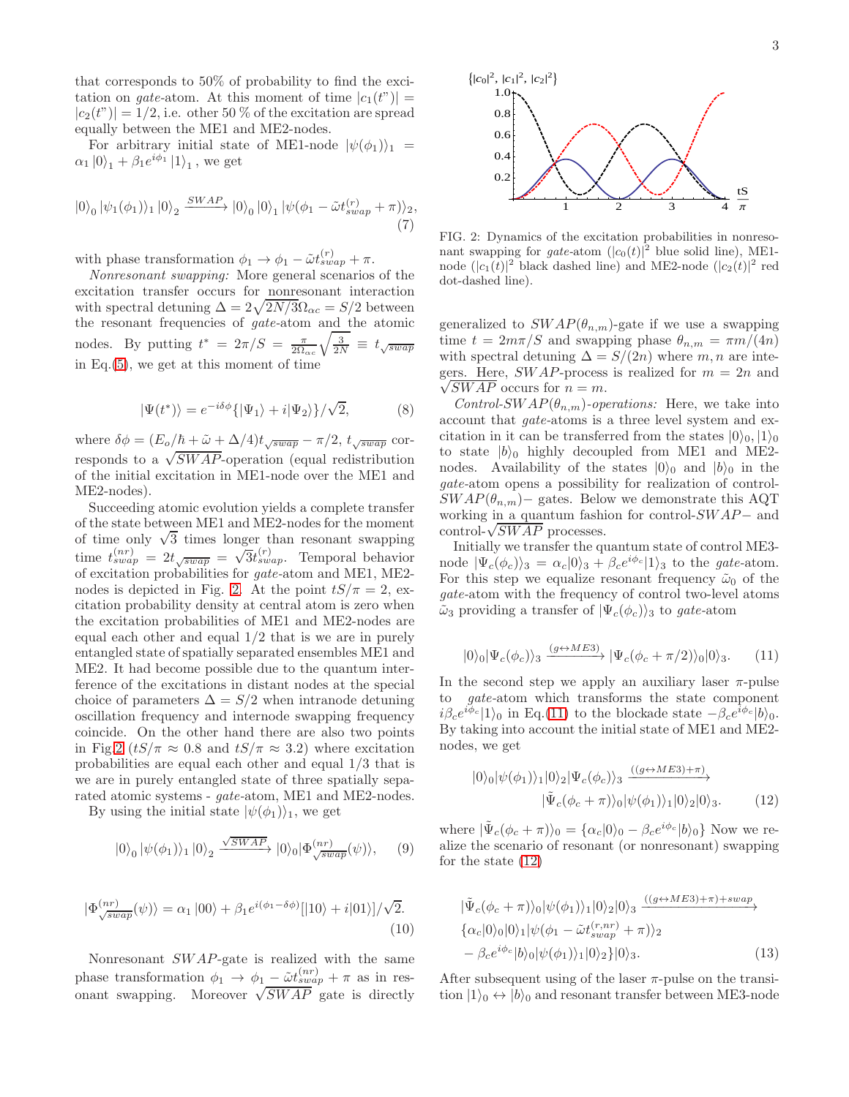that corresponds to 50% of probability to find the excitation on *qate*-atom. At this moment of time  $|c_1(t^{\prime\prime})|$  =  $|c_2(t^*)| = 1/2$ , i.e. other 50 % of the excitation are spread equally between the ME1 and ME2-nodes.

For arbitrary initial state of ME1-node  $|\psi(\phi_1)\rangle_1$  =  $\alpha_1 |0\rangle_1 + \beta_1 e^{i\phi_1} |1\rangle_1$ , we get

$$
|0\rangle_0 |\psi_1(\phi_1)\rangle_1 |0\rangle_2 \xrightarrow{SWAP} |0\rangle_0 |0\rangle_1 |\psi(\phi_1 - \tilde{\omega}t_{swap}^{(r)} + \pi)\rangle_2,
$$
\n
$$
(7)
$$

with phase transformation  $\phi_1 \to \phi_1 - \tilde{\omega} t_{swap}^{(r)} + \pi$ .

Nonresonant swapping: More general scenarios of the excitation transfer occurs for nonresonant interaction with spectral detuning  $\Delta = 2\sqrt{2N/3}\Omega_{\alpha c} = S/2$  between the resonant frequencies of gate-atom and the atomic nodes. By putting  $t^* = 2\pi/S = \frac{\pi}{2\Omega_{\alpha c}}\sqrt{\frac{3}{2N}} \equiv t\sqrt{\frac{3}{2N}}$ in Eq.[\(5\)](#page-1-1), we get at this moment of time

$$
|\Psi(t^*)\rangle = e^{-i\delta\phi}\{|\Psi_1\rangle + i|\Psi_2\rangle\}/\sqrt{2},\tag{8}
$$

where  $\delta \phi = (E_o/\hbar + \tilde{\omega} + \Delta/4)t_{\sqrt{swap}} - \pi/2, t_{\sqrt{swap}}$  corresponds to a  $\sqrt{SWAP}$ -operation (equal redistribution of the initial excitation in ME1-node over the ME1 and ME2-nodes).

Succeeding atomic evolution yields a complete transfer of the state between ME1 and ME2-nodes for the moment of time only  $\sqrt{3}$  times longer than resonant swapping time  $t_{swap}^{(nr)} = 2t_{\sqrt{swap}} = \sqrt{3}t_{swap}^{(r)}$ . Temporal behavior of excitation probabilities for gate-atom and ME1, ME2- nodes is depicted in Fig. [2.](#page-2-0) At the point  $tS/\pi = 2$ , excitation probability density at central atom is zero when the excitation probabilities of ME1 and ME2-nodes are equal each other and equal 1/2 that is we are in purely entangled state of spatially separated ensembles ME1 and ME2. It had become possible due to the quantum interference of the excitations in distant nodes at the special choice of parameters  $\Delta = S/2$  when intranode detuning oscillation frequency and internode swapping frequency coincide. On the other hand there are also two points in Fig[.2](#page-2-0) ( $tS/\pi \approx 0.8$  and  $tS/\pi \approx 3.2$ ) where excitation probabilities are equal each other and equal 1/3 that is we are in purely entangled state of three spatially separated atomic systems - gate-atom, ME1 and ME2-nodes.

By using the initial state  $|\psi(\phi_1)\rangle_1$ , we get

$$
|0\rangle_0 \, |\psi(\phi_1)\rangle_1 \, |0\rangle_2 \xrightarrow{\sqrt{SWAP}} |0\rangle_0 | \Phi_{\sqrt{swap}}^{(nr)}(\psi)\rangle, \quad (9)
$$

$$
|\Phi_{\sqrt{\text{swap}}}^{(nr)}(\psi)\rangle = \alpha_1 |00\rangle + \beta_1 e^{i(\phi_1 - \delta\phi)}[|10\rangle + i|01\rangle]/\sqrt{2}.
$$
\n(10)

Nonresonant SW AP-gate is realized with the same phase transformation  $\phi_1 \rightarrow \phi_1 - \tilde{\omega} t_{swap}^{(nr)} + \pi$  as in resonant swapping. Moreover  $\sqrt{SWAP}$  gate is directly



<span id="page-2-0"></span>FIG. 2: Dynamics of the excitation probabilities in nonresonant swapping for *gate*-atom  $(|c_0(t)|^2)$  blue solid line), ME1node  $(|c_1(t)|^2$  black dashed line) and ME2-node  $(|c_2(t)|^2$  red dot-dashed line).

generalized to  $SWAP(\theta_{n,m})$ -gate if we use a swapping time  $t = 2m\pi/S$  and swapping phase  $\theta_{n,m} = \pi m/(4n)$ with spectral detuning  $\Delta = S/(2n)$  where m, n are integers. Here,  $SWAP$ -process is realized for  $m = 2n$  and  $\sqrt{SWAP}$  occurs for  $n = m$ .

<span id="page-2-4"></span>Control-SWAP( $\theta_{n,m}$ )-operations: Here, we take into account that gate-atoms is a three level system and excitation in it can be transferred from the states  $|0\rangle_0, |1\rangle_0$ to state  $|b\rangle_0$  highly decoupled from ME1 and ME2nodes. Availability of the states  $|0\rangle_0$  and  $|b\rangle_0$  in the gate-atom opens a possibility for realization of control- $SWAP(\theta_{n,m})$  gates. Below we demonstrate this AQT working in a quantum fashion for control-SW AP− and  $\frac{1}{\sqrt{SWAP}}$  processes.

Initially we transfer the quantum state of control ME3 node  $|\Psi_c(\phi_c)\rangle_3 = \alpha_c |0\rangle_3 + \beta_c e^{i\phi_c} |1\rangle_3$  to the *gate*-atom. For this step we equalize resonant frequency  $\tilde{\omega}_0$  of the gate-atom with the frequency of control two-level atoms  $\tilde{\omega}_3$  providing a transfer of  $|\Psi_c(\phi_c)\rangle_3$  to gate-atom

<span id="page-2-1"></span>
$$
|0\rangle_0|\Psi_c(\phi_c)\rangle_3 \xrightarrow{(g \leftrightarrow ME3)} |\Psi_c(\phi_c + \pi/2)\rangle_0|0\rangle_3. \tag{11}
$$

In the second step we apply an auxiliary laser  $\pi$ -pulse to gate-atom which transforms the state component  $i\beta_c e^{i\phi_c} |1\rangle_0$  in Eq.[\(11\)](#page-2-1) to the blockade state  $-\beta_c e^{i\phi_c} |b\rangle_0$ . By taking into account the initial state of ME1 and ME2 nodes, we get

<span id="page-2-2"></span>
$$
|0\rangle_0 |\psi(\phi_1)\rangle_1 |0\rangle_2 |\Psi_c(\phi_c)\rangle_3 \xrightarrow{((g \leftrightarrow ME3) + \pi)} \langle \tilde{\Psi}_c(\phi_c + \pi) \rangle_0 |\psi(\phi_1)\rangle_1 |0\rangle_2 |0\rangle_3. \tag{12}
$$

where  $|\tilde{\Psi}_c(\phi_c + \pi)\rangle_0 = {\alpha_c|0\rangle_0 - \beta_c e^{i\phi_c}|b\rangle_0}$  Now we realize the scenario of resonant (or nonresonant) swapping for the state [\(12\)](#page-2-2)

<span id="page-2-3"></span>
$$
\begin{aligned}\n|\tilde{\Psi}_c(\phi_c + \pi)\rangle_0 |\psi(\phi_1)\rangle_1 |0\rangle_2 |0\rangle_3 \xrightarrow{((g \leftrightarrow ME3) + \pi) + swap} \\
\{\alpha_c |0\rangle_0 |0\rangle_1 |\psi(\phi_1 - \tilde{\omega}t_{swap}^{(r,nr)} + \pi)\rangle_2 \\
&\quad - \beta_c e^{i\phi_c} |b\rangle_0 |\psi(\phi_1)\rangle_1 |0\rangle_2\} |0\rangle_3.\n\end{aligned} \tag{13}
$$

After subsequent using of the laser  $\pi$ -pulse on the transition  $|1\rangle_0 \leftrightarrow |b\rangle_0$  and resonant transfer between ME3-node